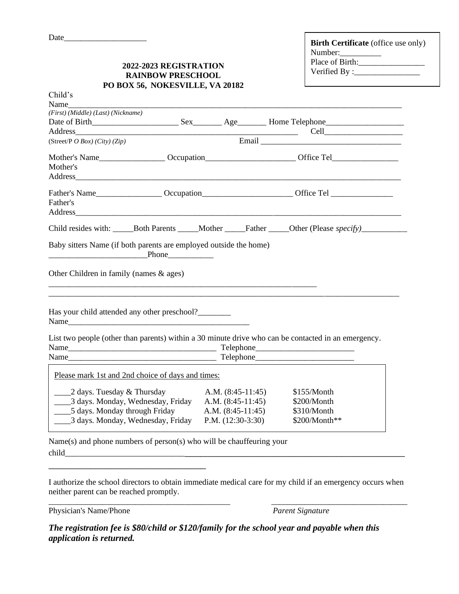| <b>Birth Certificate</b> (office use only) |  |  |  |  |  |
|--------------------------------------------|--|--|--|--|--|
| Number:                                    |  |  |  |  |  |
| Place of Birth:                            |  |  |  |  |  |
| Verified By : $\overline{\phantom{a}}$     |  |  |  |  |  |

## **2022-2023 REGISTRATION RAINBOW PRESCHOOL PO BOX 56, NOKESVILLE, VA 20182**

| Child's                                                              |  |  |                     |                                                                                                      |  |  |  |
|----------------------------------------------------------------------|--|--|---------------------|------------------------------------------------------------------------------------------------------|--|--|--|
| Name                                                                 |  |  |                     |                                                                                                      |  |  |  |
| (First) (Middle) (Last) (Nickname)                                   |  |  |                     |                                                                                                      |  |  |  |
|                                                                      |  |  |                     |                                                                                                      |  |  |  |
| Address                                                              |  |  |                     |                                                                                                      |  |  |  |
| (Street/P $OBox$ ) (City) (Zip)                                      |  |  |                     |                                                                                                      |  |  |  |
|                                                                      |  |  |                     |                                                                                                      |  |  |  |
| Mother's                                                             |  |  |                     |                                                                                                      |  |  |  |
|                                                                      |  |  |                     |                                                                                                      |  |  |  |
|                                                                      |  |  |                     | Father's Name____________________Occupation__________________________Office Tel ____________________ |  |  |  |
| Father's                                                             |  |  |                     |                                                                                                      |  |  |  |
|                                                                      |  |  |                     |                                                                                                      |  |  |  |
|                                                                      |  |  |                     |                                                                                                      |  |  |  |
|                                                                      |  |  |                     |                                                                                                      |  |  |  |
| Baby sitters Name (if both parents are employed outside the home)    |  |  |                     |                                                                                                      |  |  |  |
|                                                                      |  |  |                     |                                                                                                      |  |  |  |
|                                                                      |  |  |                     |                                                                                                      |  |  |  |
| Other Children in family (names $\&$ ages)                           |  |  |                     |                                                                                                      |  |  |  |
|                                                                      |  |  |                     |                                                                                                      |  |  |  |
|                                                                      |  |  |                     |                                                                                                      |  |  |  |
| Has your child attended any other preschool?_________                |  |  |                     |                                                                                                      |  |  |  |
|                                                                      |  |  |                     |                                                                                                      |  |  |  |
|                                                                      |  |  |                     |                                                                                                      |  |  |  |
|                                                                      |  |  |                     | List two people (other than parents) within a 30 minute drive who can be contacted in an emergency.  |  |  |  |
|                                                                      |  |  |                     |                                                                                                      |  |  |  |
|                                                                      |  |  |                     |                                                                                                      |  |  |  |
| Please mark 1st and 2nd choice of days and times:                    |  |  |                     |                                                                                                      |  |  |  |
|                                                                      |  |  |                     |                                                                                                      |  |  |  |
| ______2 days. Tuesday & Thursday                                     |  |  | A.M. $(8:45-11:45)$ | \$155/Month                                                                                          |  |  |  |
| 3 days. Monday, Wednesday, Friday                                    |  |  | A.M. $(8:45-11:45)$ | \$200/Month                                                                                          |  |  |  |
| ____5 days. Monday through Friday                                    |  |  | A.M. $(8:45-11:45)$ | \$310/Month                                                                                          |  |  |  |
| ______3 days. Monday, Wednesday, Friday                              |  |  | P.M. $(12:30-3:30)$ | \$200/Month**                                                                                        |  |  |  |
|                                                                      |  |  |                     |                                                                                                      |  |  |  |
| Name(s) and phone numbers of person(s) who will be chauffeuring your |  |  |                     |                                                                                                      |  |  |  |

child

I authorize the school directors to obtain immediate medical care for my child if an emergency occurs when neither parent can be reached promptly. \_\_\_\_\_\_\_\_\_\_\_\_\_\_\_\_\_\_\_\_\_\_\_\_\_\_\_\_\_\_\_\_\_\_\_\_\_\_\_\_\_\_\_\_ \_\_\_\_\_\_\_\_\_\_\_\_\_\_\_\_\_\_\_\_\_\_\_\_\_\_\_\_\_\_\_\_\_

Physician's Name/Phone *Parent Signature* 

\_\_\_\_\_\_\_\_\_\_\_\_\_\_\_\_\_\_\_\_\_\_\_\_\_\_\_\_\_\_

*The registration fee is \$80/child or \$120/family for the school year and payable when this application is returned.*